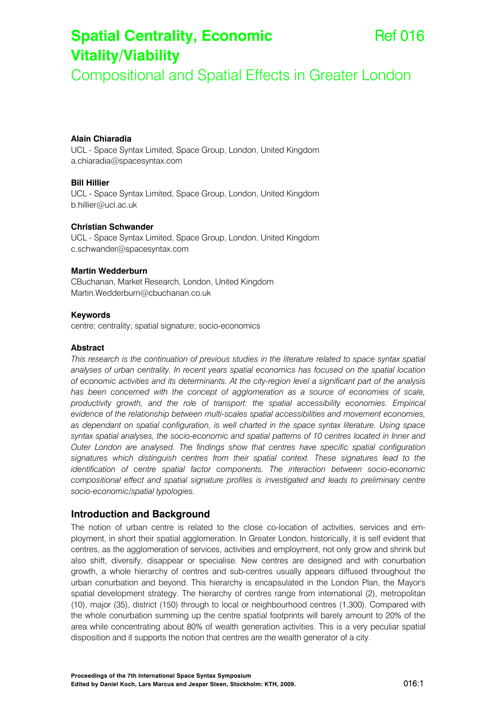# **Spatial Centrality, Economic Vitality/Viability**

Compositional and Spatial Effects in Greater London

## **Alain Chiaradia**

UCL - Space Syntax Limited, Space Group, London, United Kingdom a.chiaradia@spacesyntax.com

#### **Bill Hillier**

UCL - Space Syntax Limited, Space Group, London, United Kingdom b.hillier@ucl.ac.uk

#### **Christian Schwander**

UCL - Space Syntax Limited, Space Group, London, United Kingdom c.schwander@spacesyntax.com

### **Martin Wedderburn**

CBuchanan, Market Research, London, United Kingdom Martin.Wedderburn@cbuchanan.co.uk

#### **Keywords**

centre; centrality; spatial signature; socio-economics

#### **Abstract**

*This research is the continuation of previous studies in the literature related to space syntax spatial analyses of urban centrality. In recent years spatial economics has focused on the spatial location of economic activities and its determinants. At the city-region level a significant part of the analysis*  has been concerned with the concept of agglomeration as a source of economies of scale, *productivity growth, and the role of transport: the spatial accessibility economies. Empirical evidence of the relationship between multi-scales spatial accessibilities and movement economies, as dependant on spatial configuration, is well charted in the space syntax literature. Using space syntax spatial analyses, the socio-economic and spatial patterns of 10 centres located in Inner and Outer London are analysed. The findings show that centres have specific spatial configuration signatures which distinguish centres from their spatial context. These signatures lead to the identification of centre spatial factor components. The interaction between socio-economic compositional effect and spatial signature profiles is investigated and leads to preliminary centre socio-economic/spatial typologies.* 

# **Introduction and Background**

The notion of urban centre is related to the close co-location of activities, services and employment, in short their spatial agglomeration. In Greater London, historically, it is self evident that centres, as the agglomeration of services, activities and employment, not only grow and shrink but also shift, diversify, disappear or specialise. New centres are designed and with conurbation growth, a whole hierarchy of centres and sub-centres usually appears diffused throughout the urban conurbation and beyond. This hierarchy is encapsulated in the London Plan, the Mayor's spatial development strategy. The hierarchy of centres range from international (2), metropolitan (10), major (35), district (150) through to local or neighbourhood centres (1,300). Compared with the whole conurbation summing up the centre spatial footprints will barely amount to 20% of the area while concentrating about 80% of wealth generation activities. This is a very peculiar spatial disposition and it supports the notion that centres are the wealth generator of a city.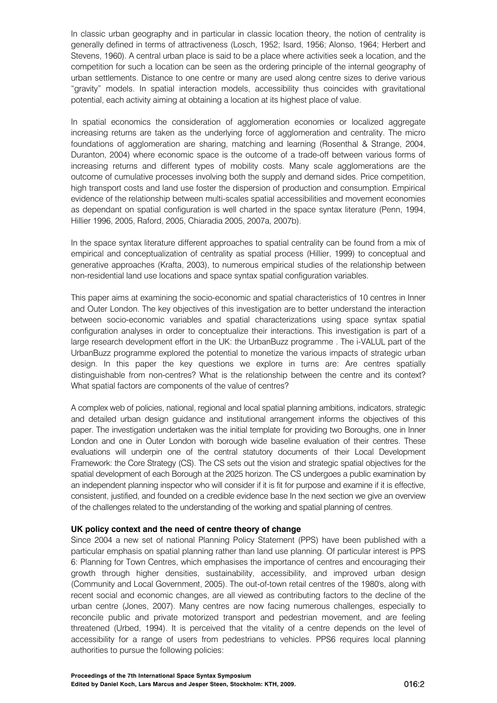In classic urban geography and in particular in classic location theory, the notion of centrality is generally defined in terms of attractiveness (Losch, 1952; Isard, 1956; Alonso, 1964; Herbert and Stevens, 1960). A central urban place is said to be a place where activities seek a location, and the competition for such a location can be seen as the ordering principle of the internal geography of urban settlements. Distance to one centre or many are used along centre sizes to derive various "gravity" models. In spatial interaction models, accessibility thus coincides with gravitational potential, each activity aiming at obtaining a location at its highest place of value.

In spatial economics the consideration of agglomeration economies or localized aggregate increasing returns are taken as the underlying force of agglomeration and centrality. The micro foundations of agglomeration are sharing, matching and learning (Rosenthal & Strange, 2004, Duranton, 2004) where economic space is the outcome of a trade-off between various forms of increasing returns and different types of mobility costs. Many scale agglomerations are the outcome of cumulative processes involving both the supply and demand sides. Price competition, high transport costs and land use foster the dispersion of production and consumption. Empirical evidence of the relationship between multi-scales spatial accessibilities and movement economies as dependant on spatial configuration is well charted in the space syntax literature (Penn, 1994, Hillier 1996, 2005, Raford, 2005, Chiaradia 2005, 2007a, 2007b).

In the space syntax literature different approaches to spatial centrality can be found from a mix of empirical and conceptualization of centrality as spatial process (Hillier, 1999) to conceptual and generative approaches (Krafta, 2003), to numerous empirical studies of the relationship between non-residential land use locations and space syntax spatial configuration variables.

This paper aims at examining the socio-economic and spatial characteristics of 10 centres in Inner and Outer London. The key objectives of this investigation are to better understand the interaction between socio-economic variables and spatial characterizations using space syntax spatial configuration analyses in order to conceptualize their interactions. This investigation is part of a large research development effort in the UK: the UrbanBuzz programme . The i-VALUL part of the UrbanBuzz programme explored the potential to monetize the various impacts of strategic urban design. In this paper the key questions we explore in turns are: Are centres spatially distinguishable from non-centres? What is the relationship between the centre and its context? What spatial factors are components of the value of centres?

A complex web of policies, national, regional and local spatial planning ambitions, indicators, strategic and detailed urban design guidance and institutional arrangement informs the objectives of this paper. The investigation undertaken was the initial template for providing two Boroughs, one in Inner London and one in Outer London with borough wide baseline evaluation of their centres. These evaluations will underpin one of the central statutory documents of their Local Development Framework: the Core Strategy (CS). The CS sets out the vision and strategic spatial objectives for the spatial development of each Borough at the 2025 horizon. The CS undergoes a public examination by an independent planning inspector who will consider if it is fit for purpose and examine if it is effective, consistent, justified, and founded on a credible evidence base In the next section we give an overview of the challenges related to the understanding of the working and spatial planning of centres.

## **UK policy context and the need of centre theory of change**

Since 2004 a new set of national Planning Policy Statement (PPS) have been published with a particular emphasis on spatial planning rather than land use planning. Of particular interest is PPS 6: Planning for Town Centres, which emphasises the importance of centres and encouraging their growth through higher densities, sustainability, accessibility, and improved urban design (Community and Local Government, 2005). The out-of-town retail centres of the 1980's, along with recent social and economic changes, are all viewed as contributing factors to the decline of the urban centre (Jones, 2007). Many centres are now facing numerous challenges, especially to reconcile public and private motorized transport and pedestrian movement, and are feeling threatened (Urbed, 1994). It is perceived that the vitality of a centre depends on the level of accessibility for a range of users from pedestrians to vehicles. PPS6 requires local planning authorities to pursue the following policies: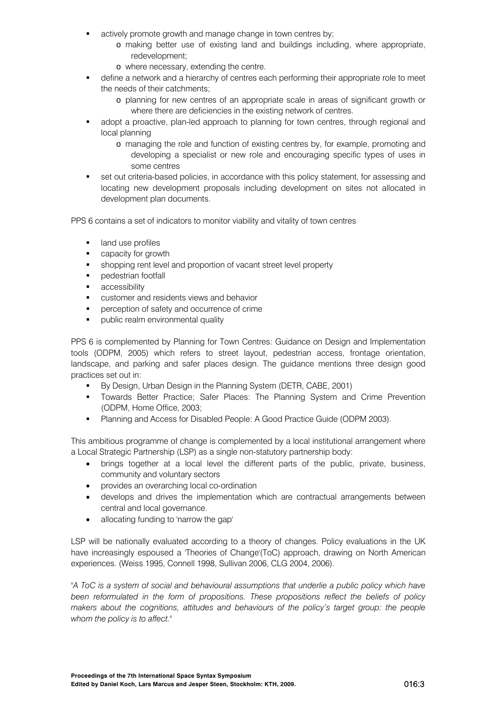- actively promote growth and manage change in town centres by;
	- o making better use of existing land and buildings including, where appropriate, redevelopment;
	- o where necessary, extending the centre.
- define a network and a hierarchy of centres each performing their appropriate role to meet the needs of their catchments;
	- o planning for new centres of an appropriate scale in areas of significant growth or where there are deficiencies in the existing network of centres.
- adopt a proactive, plan-led approach to planning for town centres, through regional and local planning
	- o managing the role and function of existing centres by, for example, promoting and developing a specialist or new role and encouraging specific types of uses in some centres
- set out criteria-based policies, in accordance with this policy statement, for assessing and locating new development proposals including development on sites not allocated in development plan documents.

PPS 6 contains a set of indicators to monitor viability and vitality of town centres

- **If** land use profiles
- **•** capacity for growth
- shopping rent level and proportion of vacant street level property
- **•** pedestrian footfall
- **accessibility**
- customer and residents views and behavior
- **Paraget control of safety and occurrence of crime**
- **•** public realm environmental quality

PPS 6 is complemented by Planning for Town Centres: Guidance on Design and Implementation tools (ODPM, 2005) which refers to street layout, pedestrian access, frontage orientation, landscape, and parking and safer places design. The guidance mentions three design good practices set out in:

- By Design, Urban Design in the Planning System (DETR, CABE, 2001)
- **The Towards Better Practice; Safer Places: The Planning System and Crime Prevention** (ODPM, Home Office, 2003;
- Planning and Access for Disabled People: A Good Practice Guide (ODPM 2003).

This ambitious programme of change is complemented by a local institutional arrangement where a Local Strategic Partnership (LSP) as a single non-statutory partnership body:

- brings together at a local level the different parts of the public, private, business, community and voluntary sectors
- provides an overarching local co-ordination
- develops and drives the implementation which are contractual arrangements between central and local governance.
- allocating funding to 'narrow the gap'

LSP will be nationally evaluated according to a theory of changes. Policy evaluations in the UK have increasingly espoused a 'Theories of Change'(ToC) approach, drawing on North American experiences. (Weiss 1995, Connell 1998, Sullivan 2006, CLG 2004, 2006).

*"A ToC is a system of social and behavioural assumptions that underlie a public policy which have been reformulated in the form of propositions. These propositions reflect the beliefs of policy makers about the cognitions, attitudes and behaviours of the policy's target group: the people whom the policy is to affect."*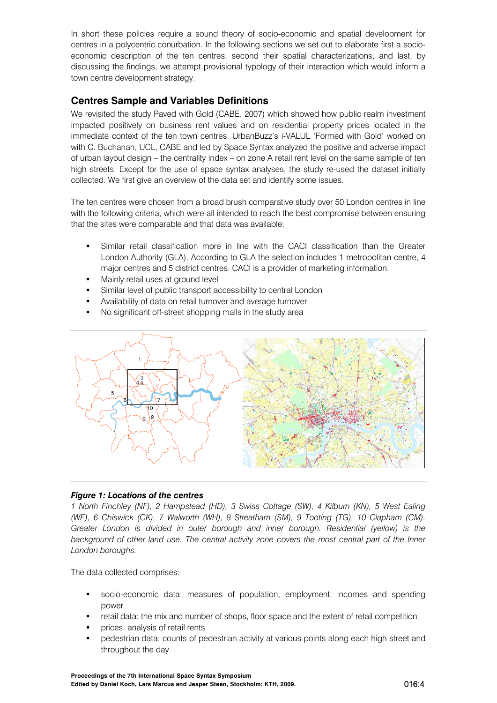In short these policies require a sound theory of socio-economic and spatial development for centres in a polycentric conurbation. In the following sections we set out to elaborate first a socioeconomic description of the ten centres, second their spatial characterizations, and last, by discussing the findings, we attempt provisional typology of their interaction which would inform a town centre development strategy.

# **Centres Sample and Variables Definitions**

We revisited the study Paved with Gold (CABE, 2007) which showed how public realm investment impacted positively on business rent values and on residential property prices located in the immediate context of the ten town centres. UrbanBuzz's i-VALUL 'Formed with Gold' worked on with C. Buchanan, UCL, CABE and led by Space Syntax analyzed the positive and adverse impact of urban layout design – the centrality index – on zone A retail rent level on the same sample of ten high streets. Except for the use of space syntax analyses, the study re-used the dataset initially collected. We first give an overview of the data set and identify some issues.

The ten centres were chosen from a broad brush comparative study over 50 London centres in line with the following criteria, which were all intended to reach the best compromise between ensuring that the sites were comparable and that data was available:

- Similar retail classification more in line with the CACI classification than the Greater London Authority (GLA). According to GLA the selection includes 1 metropolitan centre, 4 major centres and 5 district centres. CACI is a provider of marketing information.
- **Mainly retail uses at ground level**
- Similar level of public transport accessibility to central London
- Availability of data on retail turnover and average turnover
- No significant off-street shopping malls in the study area



# *Figure 1: Locations of the centres*

*1 North Finchley (NF), 2 Hampstead (HD), 3 Swiss Cottage (SW), 4 Kilburn (KN), 5 West Ealing (WE), 6 Chiswick (CK), 7 Walworth (WH), 8 Streatham (SM), 9 Tooting (TG), 10 Clapham (CM). Greater London is divided in outer borough and inner borough. Residential (yellow) is the*  background of other land use. The central activity zone covers the most central part of the Inner *London boroughs.* 

The data collected comprises:

- socio-economic data: measures of population, employment, incomes and spending power
- retail data: the mix and number of shops, floor space and the extent of retail competition
- prices: analysis of retail rents
- pedestrian data: counts of pedestrian activity at various points along each high street and throughout the day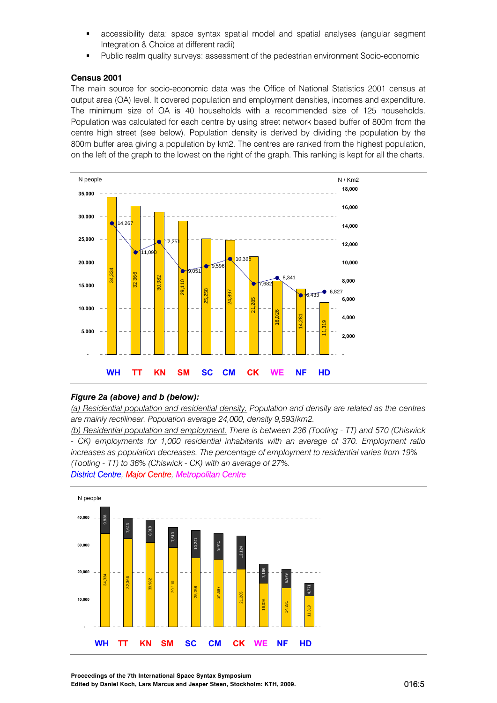- accessibility data: space syntax spatial model and spatial analyses (angular segment Integration & Choice at different radii)
- Public realm quality surveys: assessment of the pedestrian environment Socio-economic

#### **Census 2001**

The main source for socio-economic data was the Office of National Statistics 2001 census at output area (OA) level. It covered population and employment densities, incomes and expenditure. The minimum size of OA is 40 households with a recommended size of 125 households. Population was calculated for each centre by using street network based buffer of 800m from the centre high street (see below). Population density is derived by dividing the population by the 800m buffer area giving a population by km2. The centres are ranked from the highest population, on the left of the graph to the lowest on the right of the graph. This ranking is kept for all the charts.



### *Figure 2a (above) and b (below):*

*(a) Residential population and residential density. Population and density are related as the centres are mainly rectilinear. Population average 24,000, density 9,593/km2.* 

*(b) Residential population and employment. There is between 236 (Tooting - TT) and 570 (Chiswick - CK) employments for 1,000 residential inhabitants with an average of 370. Employment ratio increases as population decreases. The percentage of employment to residential varies from 19% (Tooting - TT) to 36% (Chiswick - CK) with an average of 27%.* 

#### *District Centre, Major Centre, Metropolitan Centre*



**Proceedings of the 7th International Space Syntax Symposium Edited by Daniel Koch, Lars Marcus and Jesper Steen, Stockholm: KTH, 2009.** 016:5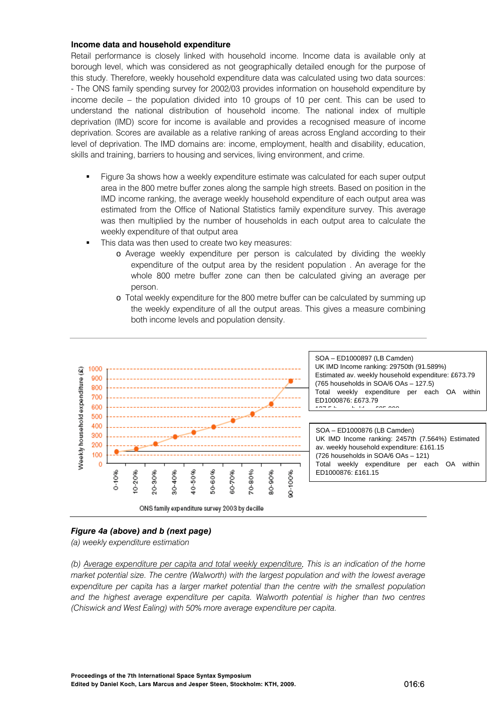#### **Income data and household expenditure**

Retail performance is closely linked with household income. Income data is available only at borough level, which was considered as not geographically detailed enough for the purpose of this study. Therefore, weekly household expenditure data was calculated using two data sources: - The ONS family spending survey for 2002/03 provides information on household expenditure by income decile – the population divided into 10 groups of 10 per cent. This can be used to understand the national distribution of household income. The national index of multiple deprivation (IMD) score for income is available and provides a recognised measure of income deprivation. Scores are available as a relative ranking of areas across England according to their level of deprivation. The IMD domains are: income, employment, health and disability, education, skills and training, barriers to housing and services, living environment, and crime.

- Figure 3a shows how a weekly expenditure estimate was calculated for each super output area in the 800 metre buffer zones along the sample high streets. Based on position in the IMD income ranking, the average weekly household expenditure of each output area was estimated from the Office of National Statistics family expenditure survey. This average was then multiplied by the number of households in each output area to calculate the weekly expenditure of that output area
- This data was then used to create two key measures:
	- o Average weekly expenditure per person is calculated by dividing the weekly expenditure of the output area by the resident population . An average for the whole 800 metre buffer zone can then be calculated giving an average per person.
	- o Total weekly expenditure for the 800 metre buffer can be calculated by summing up the weekly expenditure of all the output areas. This gives a measure combining both income levels and population density.



# *Figure 4a (above) and b (next page)*

*(a) weekly expenditure estimation* 

*(b) Average expenditure per capita and total weekly expenditure. This is an indication of the home market potential size. The centre (Walworth) with the largest population and with the lowest average expenditure per capita has a larger market potential than the centre with the smallest population and the highest average expenditure per capita. Walworth potential is higher than two centres (Chiswick and West Ealing) with 50% more average expenditure per capita.*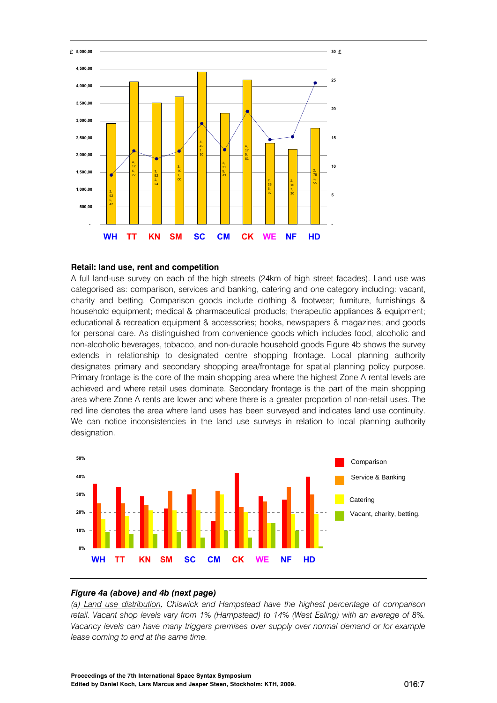

#### **Retail: land use, rent and competition**

A full land-use survey on each of the high streets (24km of high street facades). Land use was categorised as: comparison, services and banking, catering and one category including: vacant, charity and betting. Comparison goods include clothing & footwear; furniture, furnishings & household equipment; medical & pharmaceutical products; therapeutic appliances & equipment; educational & recreation equipment & accessories; books, newspapers & magazines; and goods for personal care. As distinguished from convenience goods which includes food, alcoholic and non-alcoholic beverages, tobacco, and non-durable household goods Figure 4b shows the survey extends in relationship to designated centre shopping frontage. Local planning authority designates primary and secondary shopping area/frontage for spatial planning policy purpose. Primary frontage is the core of the main shopping area where the highest Zone A rental levels are achieved and where retail uses dominate. Secondary frontage is the part of the main shopping area where Zone A rents are lower and where there is a greater proportion of non-retail uses. The red line denotes the area where land uses has been surveyed and indicates land use continuity. We can notice inconsistencies in the land use surveys in relation to local planning authority designation.



## *Figure 4a (above) and 4b (next page)*

*(a) Land use distribution. Chiswick and Hampstead have the highest percentage of comparison retail. Vacant shop levels vary from 1% (Hampstead) to 14% (West Ealing) with an average of 8%. Vacancy levels can have many triggers premises over supply over normal demand or for example lease coming to end at the same time.*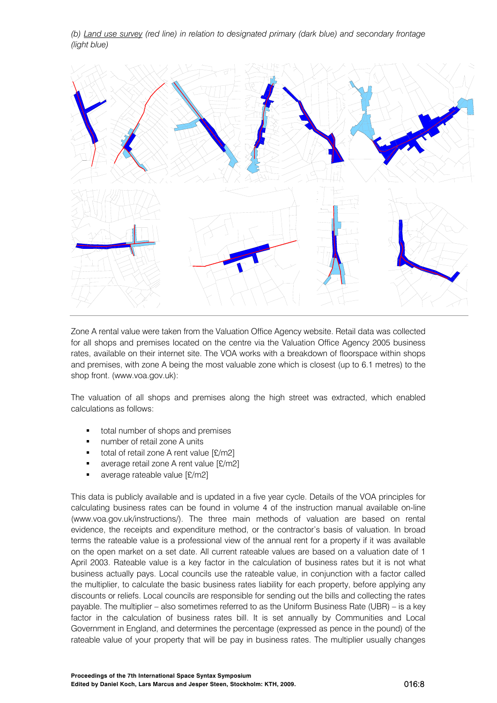*(b) Land use survey (red line) in relation to designated primary (dark blue) and secondary frontage (light blue)* 



Zone A rental value were taken from the Valuation Office Agency website. Retail data was collected for all shops and premises located on the centre via the Valuation Office Agency 2005 business rates, available on their internet site. The VOA works with a breakdown of floorspace within shops and premises, with zone A being the most valuable zone which is closest (up to 6.1 metres) to the shop front. (www.voa.gov.uk):

The valuation of all shops and premises along the high street was extracted, which enabled calculations as follows:

- total number of shops and premises
- number of retail zone A units
- total of retail zone A rent value [£/m2]
- average retail zone A rent value [£/m2]
- average rateable value [£/m2]

This data is publicly available and is updated in a five year cycle. Details of the VOA principles for calculating business rates can be found in volume 4 of the instruction manual available on-line (www.voa.gov.uk/instructions/). The three main methods of valuation are based on rental evidence, the receipts and expenditure method, or the contractor's basis of valuation. In broad terms the rateable value is a professional view of the annual rent for a property if it was available on the open market on a set date. All current rateable values are based on a valuation date of 1 April 2003. Rateable value is a key factor in the calculation of business rates but it is not what business actually pays. Local councils use the rateable value, in conjunction with a factor called the multiplier, to calculate the basic business rates liability for each property, before applying any discounts or reliefs. Local councils are responsible for sending out the bills and collecting the rates payable. The multiplier – also sometimes referred to as the Uniform Business Rate (UBR) – is a key factor in the calculation of business rates bill. It is set annually by Communities and Local Government in England, and determines the percentage (expressed as pence in the pound) of the rateable value of your property that will be pay in business rates. The multiplier usually changes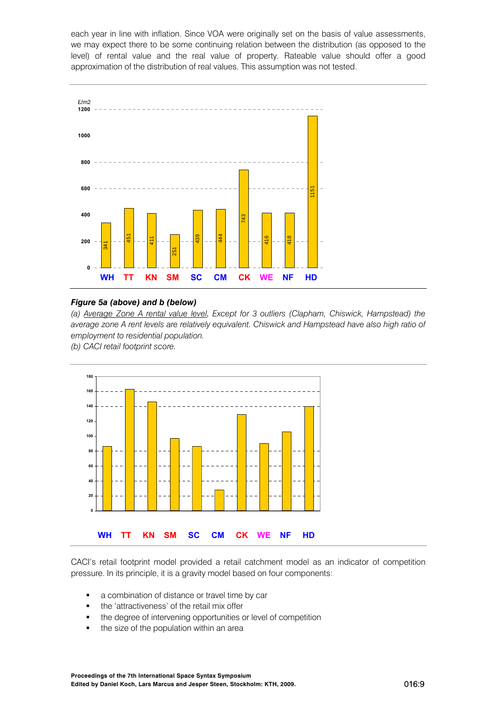each year in line with inflation. Since VOA were originally set on the basis of value assessments, we may expect there to be some continuing relation between the distribution (as opposed to the level) of rental value and the real value of property. Rateable value should offer a good approximation of the distribution of real values. This assumption was not tested.



#### *Figure 5a (above) and b (below)*

*(a) Average Zone A rental value level. Except for 3 outliers (Clapham, Chiswick, Hampstead) the average zone A rent levels are relatively equivalent. Chiswick and Hampstead have also high ratio of employment to residential population.* 

*(b) CACI retail footprint score.* 



CACI's retail footprint model provided a retail catchment model as an indicator of competition pressure. In its principle, it is a gravity model based on four components:

- a combination of distance or travel time by car
- the 'attractiveness' of the retail mix offer
- the degree of intervening opportunities or level of competition
-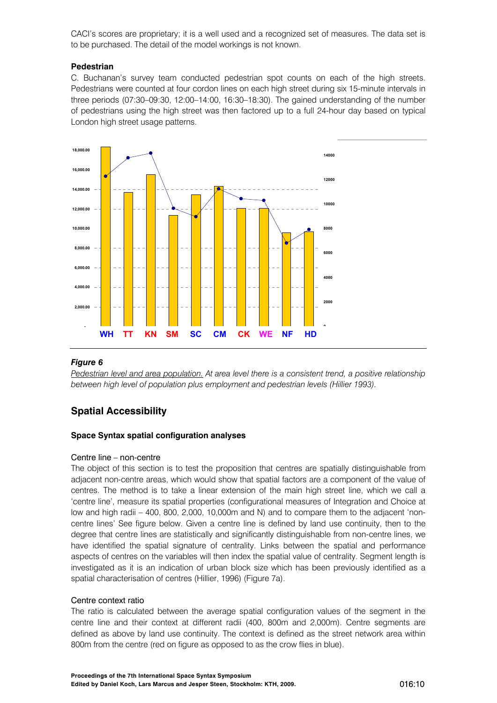CACI's scores are proprietary; it is a well used and a recognized set of measures. The data set is to be purchased. The detail of the model workings is not known.

## **Pedestrian**

C. Buchanan's survey team conducted pedestrian spot counts on each of the high streets. Pedestrians were counted at four cordon lines on each high street during six 15-minute intervals in three periods (07:30–09:30, 12:00–14:00, 16:30–18:30). The gained understanding of the number of pedestrians using the high street was then factored up to a full 24-hour day based on typical London high street usage patterns.



## *Figure 6*

*Pedestrian level and area population. At area level there is a consistent trend, a positive relationship between high level of population plus employment and pedestrian levels (Hillier 1993).* 

# **Spatial Accessibility**

#### **Space Syntax spatial configuration analyses**

#### Centre line – non-centre

The object of this section is to test the proposition that centres are spatially distinguishable from adjacent non-centre areas, which would show that spatial factors are a component of the value of centres. The method is to take a linear extension of the main high street line, which we call a 'centre line', measure its spatial properties (configurational measures of Integration and Choice at low and high radii – 400, 800, 2,000, 10,000m and N) and to compare them to the adjacent 'noncentre lines' See figure below. Given a centre line is defined by land use continuity, then to the degree that centre lines are statistically and significantly distinguishable from non-centre lines, we have identified the spatial signature of centrality. Links between the spatial and performance aspects of centres on the variables will then index the spatial value of centrality. Segment length is investigated as it is an indication of urban block size which has been previously identified as a spatial characterisation of centres (Hillier, 1996) (Figure 7a).

#### Centre context ratio

The ratio is calculated between the average spatial configuration values of the segment in the centre line and their context at different radii (400, 800m and 2,000m). Centre segments are defined as above by land use continuity. The context is defined as the street network area within 800m from the centre (red on figure as opposed to as the crow flies in blue).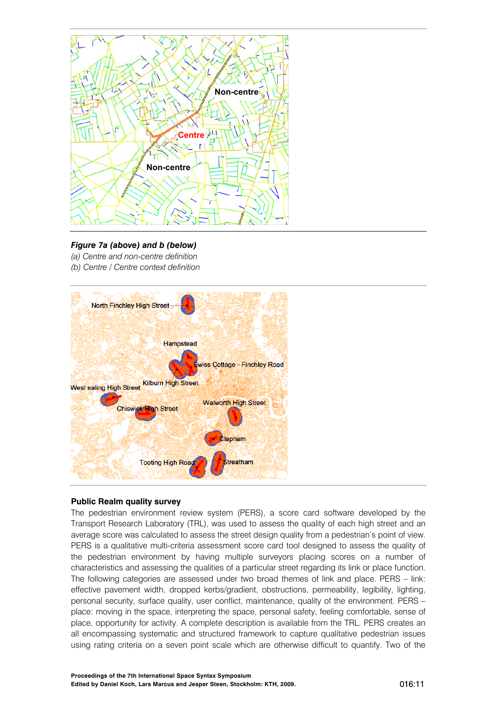

# *Figure 7a (above) and b (below)*

*(a) Centre and non-centre definition (b) Centre / Centre context definition* 



## **Public Realm quality survey**

The pedestrian environment review system (PERS), a score card software developed by the Transport Research Laboratory (TRL), was used to assess the quality of each high street and an average score was calculated to assess the street design quality from a pedestrian's point of view. PERS is a qualitative multi-criteria assessment score card tool designed to assess the quality of the pedestrian environment by having multiple surveyors placing scores on a number of characteristics and assessing the qualities of a particular street regarding its link or place function. The following categories are assessed under two broad themes of link and place. PERS – link: effective pavement width, dropped kerbs/gradient, obstructions, permeability, legibility, lighting, personal security, surface quality, user conflict, maintenance, quality of the environment. PERS – place: moving in the space, interpreting the space, personal safety, feeling comfortable, sense of place, opportunity for activity. A complete description is available from the TRL. PERS creates an all encompassing systematic and structured framework to capture qualitative pedestrian issues using rating criteria on a seven point scale which are otherwise difficult to quantify. Two of the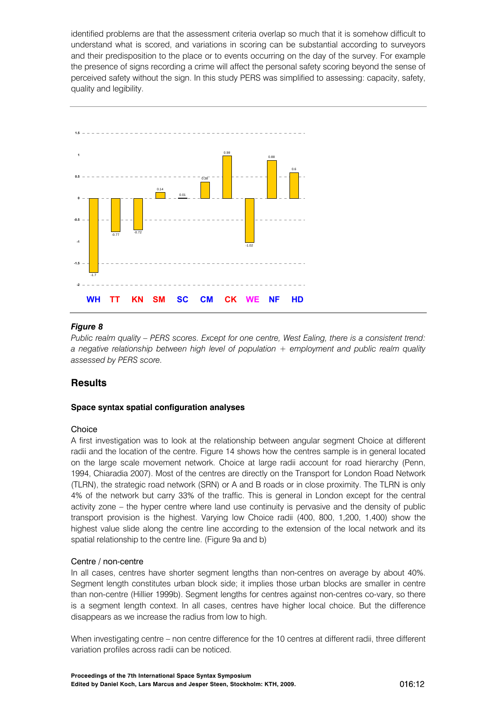identified problems are that the assessment criteria overlap so much that it is somehow difficult to understand what is scored, and variations in scoring can be substantial according to surveyors and their predisposition to the place or to events occurring on the day of the survey. For example the presence of signs recording a crime will affect the personal safety scoring beyond the sense of perceived safety without the sign. In this study PERS was simplified to assessing: capacity, safety, quality and legibility.



# *Figure 8*

*Public realm quality – PERS scores. Except for one centre, West Ealing, there is a consistent trend: a negative relationship between high level of population + employment and public realm quality assessed by PERS score.* 

# **Results**

## **Space syntax spatial configuration analyses**

#### Choice

A first investigation was to look at the relationship between angular segment Choice at different radii and the location of the centre. Figure 14 shows how the centres sample is in general located on the large scale movement network. Choice at large radii account for road hierarchy (Penn, 1994, Chiaradia 2007). Most of the centres are directly on the Transport for London Road Network (TLRN), the strategic road network (SRN) or A and B roads or in close proximity. The TLRN is only 4% of the network but carry 33% of the traffic. This is general in London except for the central activity zone – the hyper centre where land use continuity is pervasive and the density of public transport provision is the highest. Varying low Choice radii (400, 800, 1,200, 1,400) show the highest value slide along the centre line according to the extension of the local network and its spatial relationship to the centre line. (Figure 9a and b)

## Centre / non-centre

In all cases, centres have shorter segment lengths than non-centres on average by about 40%. Segment length constitutes urban block side; it implies those urban blocks are smaller in centre than non-centre (Hillier 1999b). Segment lengths for centres against non-centres co-vary, so there is a segment length context. In all cases, centres have higher local choice. But the difference disappears as we increase the radius from low to high.

When investigating centre – non centre difference for the 10 centres at different radii, three different variation profiles across radii can be noticed.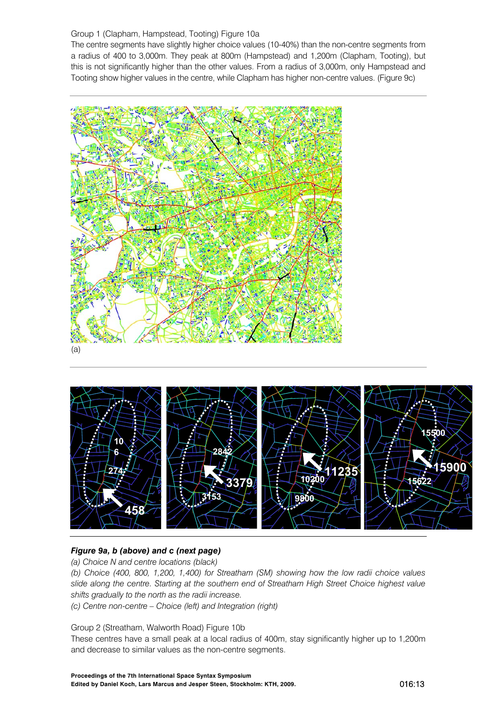# Group 1 (Clapham, Hampstead, Tooting) Figure 10a

The centre segments have slightly higher choice values (10-40%) than the non-centre segments from a radius of 400 to 3,000m. They peak at 800m (Hampstead) and 1,200m (Clapham, Tooting), but this is not significantly higher than the other values. From a radius of 3,000m, only Hampstead and Tooting show higher values in the centre, while Clapham has higher non-centre values. (Figure 9c)





# *Figure 9a, b (above) and c (next page)*

*(a) Choice N and centre locations (black)* 

*(b) Choice (400, 800, 1,200, 1,400) for Streatham (SM) showing how the low radii choice values slide along the centre. Starting at the southern end of Streatham High Street Choice highest value shifts gradually to the north as the radii increase.* 

*(c) Centre non-centre – Choice (left) and Integration (right)* 

Group 2 (Streatham, Walworth Road) Figure 10b

These centres have a small peak at a local radius of 400m, stay significantly higher up to 1,200m and decrease to similar values as the non-centre segments.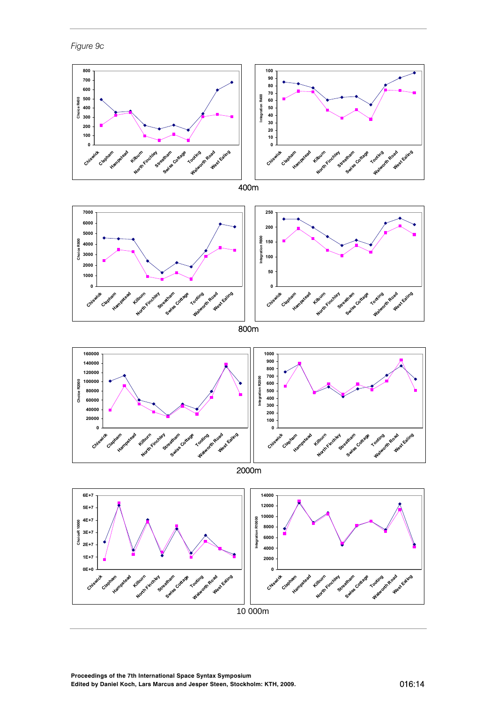*Figure 9c* 

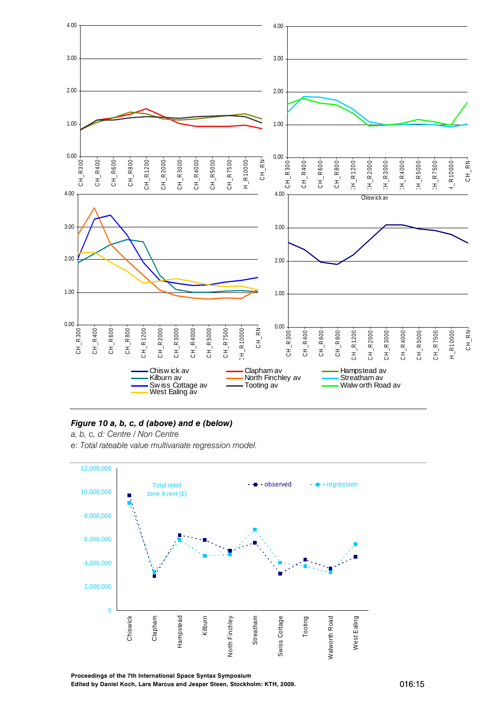

## *Figure 10 a, b, c, d (above) and e (below)*

- *a, b, c, d: Centre / Non Centre*
- *e: Total rateable value multivariate regression model.*

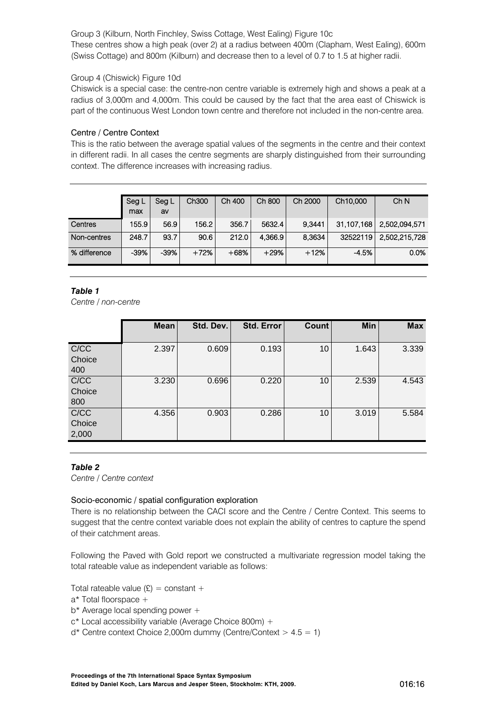Group 3 (Kilburn, North Finchley, Swiss Cottage, West Ealing) Figure 10c These centres show a high peak (over 2) at a radius between 400m (Clapham, West Ealing), 600m (Swiss Cottage) and 800m (Kilburn) and decrease then to a level of 0.7 to 1.5 at higher radii.

## Group 4 (Chiswick) Figure 10d

Chiswick is a special case: the centre-non centre variable is extremely high and shows a peak at a radius of 3,000m and 4,000m. This could be caused by the fact that the area east of Chiswick is part of the continuous West London town centre and therefore not included in the non-centre area.

# Centre / Centre Context

This is the ratio between the average spatial values of the segments in the centre and their context in different radii. In all cases the centre segments are sharply distinguished from their surrounding context. The difference increases with increasing radius.

|              | Seg L<br>max | Seg L<br>av | Ch <sub>300</sub> | Ch 400 | Ch 800  | Ch 2000 | Ch10,000   | Ch N          |
|--------------|--------------|-------------|-------------------|--------|---------|---------|------------|---------------|
| Centres      | 155.9        | 56.9        | 156.2             | 356.7  | 5632.4  | 9.3441  | 31,107,168 | 2,502,094,571 |
| Non-centres  | 248.7        | 93.7        | 90.6              | 212.0  | 4,366.9 | 8.3634  | 32522119   | 2,502,215,728 |
| % difference | $-39%$       | $-39%$      | $+72%$            | $+68%$ | $+29%$  | $+12%$  | $-4.5%$    | 0.0%          |

# *Table 1*

*Centre / non-centre* 

|                         | <b>Mean</b> | Std. Dev. | <b>Std. Error</b> | Count | Min   | <b>Max</b> |
|-------------------------|-------------|-----------|-------------------|-------|-------|------------|
| C/CC<br>Choice<br>400   | 2.397       | 0.609     | 0.193             | 10    | 1.643 | 3.339      |
| C/CC<br>Choice<br>800   | 3.230       | 0.696     | 0.220             | 10    | 2.539 | 4.543      |
| C/CC<br>Choice<br>2,000 | 4.356       | 0.903     | 0.286             | 10    | 3.019 | 5.584      |

# *Table 2*

*Centre / Centre context* 

## Socio-economic / spatial configuration exploration

There is no relationship between the CACI score and the Centre / Centre Context. This seems to suggest that the centre context variable does not explain the ability of centres to capture the spend of their catchment areas.

Following the Paved with Gold report we constructed a multivariate regression model taking the total rateable value as independent variable as follows:

Total rateable value  $(E) = constant +$ 

a\* Total floorspace +

b\* Average local spending power +

- c\* Local accessibility variable (Average Choice 800m) +
- $d^*$  Centre context Choice 2,000m dummy (Centre/Context  $> 4.5 = 1$ )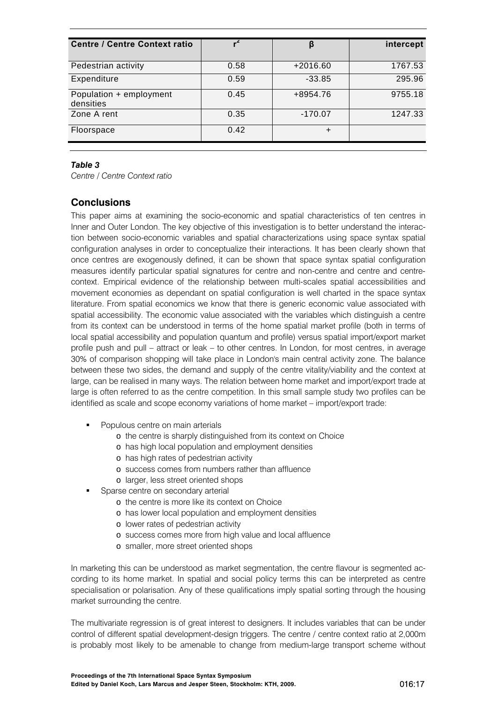| <b>Centre / Centre Context ratio</b> |      | β          | intercept |
|--------------------------------------|------|------------|-----------|
| Pedestrian activity                  | 0.58 | $+2016.60$ | 1767.53   |
| Expenditure                          | 0.59 | $-33.85$   | 295.96    |
| Population + employment<br>densities | 0.45 | +8954.76   | 9755.18   |
| Zone A rent                          | 0.35 | $-170.07$  | 1247.33   |
| Floorspace                           | 0.42 | +          |           |

#### *Table 3*

*Centre / Centre Context ratio* 

# **Conclusions**

This paper aims at examining the socio-economic and spatial characteristics of ten centres in Inner and Outer London. The key objective of this investigation is to better understand the interaction between socio-economic variables and spatial characterizations using space syntax spatial configuration analyses in order to conceptualize their interactions. It has been clearly shown that once centres are exogenously defined, it can be shown that space syntax spatial configuration measures identify particular spatial signatures for centre and non-centre and centre and centrecontext. Empirical evidence of the relationship between multi-scales spatial accessibilities and movement economies as dependant on spatial configuration is well charted in the space syntax literature. From spatial economics we know that there is generic economic value associated with spatial accessibility. The economic value associated with the variables which distinguish a centre from its context can be understood in terms of the home spatial market profile (both in terms of local spatial accessibility and population quantum and profile) versus spatial import/export market profile push and pull – attract or leak – to other centres. In London, for most centres, in average 30% of comparison shopping will take place in London's main central activity zone. The balance between these two sides, the demand and supply of the centre vitality/viability and the context at large, can be realised in many ways. The relation between home market and import/export trade at large is often referred to as the centre competition. In this small sample study two profiles can be identified as scale and scope economy variations of home market – import/export trade:

- Populous centre on main arterials
	- o the centre is sharply distinguished from its context on Choice
	- o has high local population and employment densities
	- o has high rates of pedestrian activity
	- o success comes from numbers rather than affluence
	- o larger, less street oriented shops
- Sparse centre on secondary arterial
	- o the centre is more like its context on Choice
	- o has lower local population and employment densities
	- o lower rates of pedestrian activity
	- o success comes more from high value and local affluence
	- o smaller, more street oriented shops

In marketing this can be understood as market segmentation, the centre flavour is segmented according to its home market. In spatial and social policy terms this can be interpreted as centre specialisation or polarisation. Any of these qualifications imply spatial sorting through the housing market surrounding the centre.

The multivariate regression is of great interest to designers. It includes variables that can be under control of different spatial development-design triggers. The centre / centre context ratio at 2,000m is probably most likely to be amenable to change from medium-large transport scheme without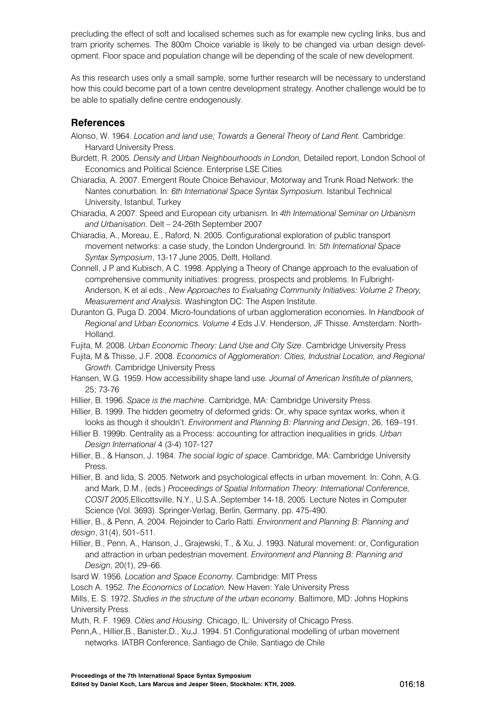precluding the effect of soft and localised schemes such as for example new cycling links, bus and tram priority schemes. The 800m Choice variable is likely to be changed via urban design development. Floor space and population change will be depending of the scale of new development.

As this research uses only a small sample, some further research will be necessary to understand how this could become part of a town centre development strategy. Another challenge would be to be able to spatially define centre endogenously.

# **References**

- Alonso, W. 1964. *Location and land use; Towards a General Theory of Land Rent.* Cambridge: Harvard University Press.
- Burdett, R. 2005. *Density and Urban Neighbourhoods in London,* Detailed report, London School of Economics and Political Science. Enterprise LSE Cities
- Chiaradia, A. 2007. Emergent Route Choice Behaviour, Motorway and Trunk Road Network: the Nantes conurbation. In: *6th International Space Syntax Symposium.* Istanbul Technical University, Istanbul, Turkey
- Chiaradia, A 2007. Speed and European city urbanism. In *4th International Seminar on Urbanism and Urbanisation*. Delt – 24-26th September 2007
- Chiaradia, A., Moreau, E., Raford, N. 2005. Configurational exploration of public transport movement networks: a case study, the London Underground. In: *5th International Space Syntax Symposium*, 13-17 June 2005, Delft, Holland.
- Connell, J P and Kubisch, A C. 1998. Applying a Theory of Change approach to the evaluation of comprehensive community initiatives: progress, prospects and problems. In Fulbright-Anderson, K et al eds., *New Approaches to Evaluating Community Initiatives: Volume 2 Theory, Measurement and Analysis.* Washington DC: The Aspen Institute.
- Duranton G, Puga D. 2004. Micro-foundations of urban agglomeration economies. In *Handbook of Regional and Urban Economics. Volume 4* Eds J.V. Henderson, JF Thisse. Amsterdam: North-Holland.

Fujita, M. 2008. *Urban Economic Theory: Land Use and City Size*. Cambridge University Press

- Fujita, M & Thisse, J.F. 2008. *Economics of Agglomeration: Cities, Industrial Location, and Regional Growth*. Cambridge University Press
- Hansen, W.G. 1959. How accessibility shape land use. *Journal of American Institute of planners,* 25; 73-76
- Hillier, B. 1996. *Space is the machine*. Cambridge, MA: Cambridge University Press.
- Hillier, B. 1999. The hidden geometry of deformed grids: Or, why space syntax works, when it looks as though it shouldn't. *Environment and Planning B: Planning and Design*, 26, 169–191.
- Hillier B. 1999b. Centrality as a Process: accounting for attraction inequalities in grids. *Urban Design International* 4 (3-4) 107-127
- Hillier, B., & Hanson, J. 1984. *The social logic of space*. Cambridge, MA: Cambridge University Press.
- Hillier, B. and Iida, S. 2005. Network and psychological effects in urban movement. In: Cohn, A.G. and Mark, D.M., (eds.) *Proceedings of Spatial Information Theory: International Conference, COSIT 2005*,Ellicottsville, N.Y., U.S.A.,September 14-18, 2005. Lecture Notes in Computer Science (Vol. 3693). Springer-Verlag, Berlin, Germany, pp. 475-490.

Hillier, B., & Penn, A. 2004. Rejoinder to Carlo Ratti. *Environment and Planning B: Planning and design*, 31(4), 501–511.

- Hillier, B., Penn, A., Hanson, J., Grajewski, T., & Xu, J. 1993. Natural movement: or, Configuration and attraction in urban pedestrian movement. *Environment and Planning B: Planning and Design*, 20(1), 29–66.
- Isard W. 1956. *Location and Space Economy.* Cambridge: MIT Press
- Losch A. 1952. *The Economics of Location.* New Haven: Yale University Press

Mills, E. S. 1972. *Studies in the structure of the urban economy*. Baltimore, MD: Johns Hopkins University Press.

Muth, R. F. 1969. *Cities and Housing*. Chicago, IL: University of Chicago Press.

Penn,A., Hillier,B., Banister,D., Xu,J. 1994. 51.Configurational modelling of urban movement networks. IATBR Conference, Santiago de Chile, Santiago de Chile